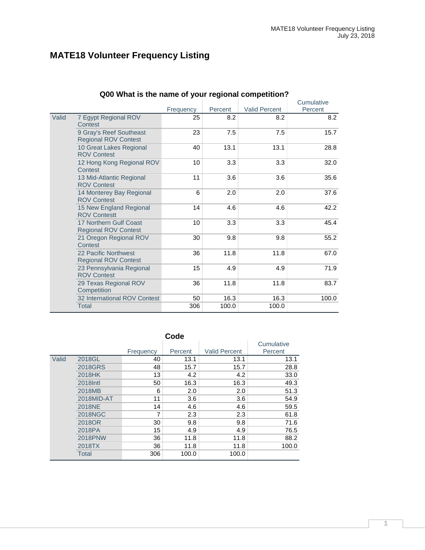# **MATE18 Volunteer Frequency Listing**

|       | <b>QUO WITAL IS THE HAME OF YOUR REGIONAL COMPETITION</b> |           |         |                      |                       |
|-------|-----------------------------------------------------------|-----------|---------|----------------------|-----------------------|
|       |                                                           |           | Percent | <b>Valid Percent</b> | Cumulative<br>Percent |
|       |                                                           | Frequency |         |                      |                       |
| Valid | 7 Egypt Regional ROV<br>Contest                           | 25        | 8.2     | 8.2                  | 8.2                   |
|       | 9 Gray's Reef Southeast<br><b>Regional ROV Contest</b>    | 23        | 7.5     | 7.5                  | 15.7                  |
|       | 10 Great Lakes Regional<br><b>ROV Contest</b>             | 40        | 13.1    | 13.1                 | 28.8                  |
|       | 12 Hong Kong Regional ROV<br>Contest                      | 10        | 3.3     | 3.3                  | 32.0                  |
|       | 13 Mid-Atlantic Regional<br><b>ROV Contest</b>            | 11        | 3.6     | 3.6                  | 35.6                  |
|       | 14 Monterey Bay Regional<br><b>ROV Contest</b>            | 6         | 2.0     | 2.0                  | 37.6                  |
|       | 15 New England Regional<br><b>ROV Contestt</b>            | 14        | 4.6     | 4.6                  | 42.2                  |
|       | 17 Northern Gulf Coast<br><b>Regional ROV Contest</b>     | 10        | 3.3     | 3.3                  | 45.4                  |
|       | 21 Oregon Regional ROV<br>Contest                         | 30        | 9.8     | 9.8                  | 55.2                  |
|       | 22 Pacific Northwest<br><b>Regional ROV Contest</b>       | 36        | 11.8    | 11.8                 | 67.0                  |
|       | 23 Pennsylvania Regional<br><b>ROV Contest</b>            | 15        | 4.9     | 4.9                  | 71.9                  |
|       | 29 Texas Regional ROV<br>Competition                      | 36        | 11.8    | 11.8                 | 83.7                  |
|       | 32 International ROV Contest                              | 50        | 16.3    | 16.3                 | 100.0                 |
|       | <b>Total</b>                                              | 306       | 100.0   | 100.0                |                       |

# **Q00 What is the name of your regional competition?**

| Code  |                |           |         |                      |            |  |  |  |
|-------|----------------|-----------|---------|----------------------|------------|--|--|--|
|       |                |           |         |                      | Cumulative |  |  |  |
|       |                | Frequency | Percent | <b>Valid Percent</b> | Percent    |  |  |  |
| Valid | 2018GL         | 40        | 13.1    | 13.1                 | 13.1       |  |  |  |
|       | 2018GRS        | 48        | 15.7    | 15.7                 | 28.8       |  |  |  |
|       | 2018HK         | 13        | 4.2     | 4.2                  | 33.0       |  |  |  |
|       | 2018 Intl      | 50        | 16.3    | 16.3                 | 49.3       |  |  |  |
|       | 2018MB         | 6         | 2.0     | 2.0                  | 51.3       |  |  |  |
|       | 2018MID-AT     | 11        | 3.6     | 3.6                  | 54.9       |  |  |  |
|       | <b>2018NE</b>  | 14        | 4.6     | 4.6                  | 59.5       |  |  |  |
|       | 2018NGC        | 7         | 2.3     | 2.3                  | 61.8       |  |  |  |
|       | 2018OR         | 30        | 9.8     | 9.8                  | 71.6       |  |  |  |
|       | 2018PA         | 15        | 4.9     | 4.9                  | 76.5       |  |  |  |
|       | <b>2018PNW</b> | 36        | 11.8    | 11.8                 | 88.2       |  |  |  |
|       | 2018TX         | 36        | 11.8    | 11.8                 | 100.0      |  |  |  |
|       | <b>Total</b>   | 306       | 100.0   | 100.0                |            |  |  |  |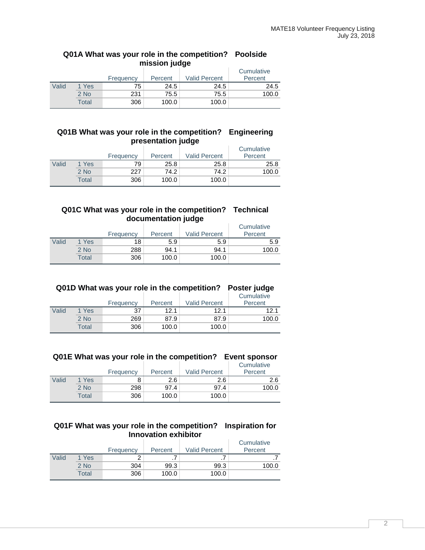# **Q01A What was your role in the competition? Poolside mission judge**

|       |        | Frequency | Percent | <b>Valid Percent</b> | Cumulative<br>Percent |
|-------|--------|-----------|---------|----------------------|-----------------------|
| Valid | 1 Yes  | 75        | 24.5    | 24.5                 | 24.5                  |
|       | $2$ No | 231       | 75.5    | 75.5                 | 100.0                 |
|       | Total  | 306       | 100.0   | 100.0                |                       |

# **Q01B What was your role in the competition? Engineering presentation judge**

|       |        | Frequency | Percent | <b>Valid Percent</b> | Cumulative<br>Percent |
|-------|--------|-----------|---------|----------------------|-----------------------|
| Valid | 1 Yes  | 79        | 25.8    | 25.8                 | 25.8                  |
|       | $2$ No | 227       | 74.2    | 74.2                 | 100.0                 |
|       | Total  | 306       | 100.0   | 100.0                |                       |

# **Q01C What was your role in the competition? Technical documentation judge**

|       |        | Frequency | Percent | -<br><b>Valid Percent</b> | Cumulative<br>Percent |
|-------|--------|-----------|---------|---------------------------|-----------------------|
| Valid | 1 Yes  | 18        | 5.9     | 5.9                       | 5.9                   |
|       | $2$ No | 288       | 94.1    | 94.1                      | 100.0                 |
|       | Total  | 306       | 100.0   | 100.0                     |                       |

|       | Q01D What was your role in the competition? Poster judge |           |         |                      |            |  |  |  |  |
|-------|----------------------------------------------------------|-----------|---------|----------------------|------------|--|--|--|--|
|       |                                                          |           |         |                      | Cumulative |  |  |  |  |
|       |                                                          | Frequency | Percent | <b>Valid Percent</b> | Percent    |  |  |  |  |
| Valid | 1 Yes                                                    | 37        | 12.1    | 12.1                 | 12.1       |  |  |  |  |
|       | $2$ No                                                   | 269       | 87.9    | 87.9                 | 100.0      |  |  |  |  |
|       | Total                                                    | 306       | 100.0   | 100.0                |            |  |  |  |  |

# **Q01E What was your role in the competition? Event sponsor**

|       |       | Frequency | Percent | <b>Valid Percent</b> | Cumulative<br>Percent |
|-------|-------|-----------|---------|----------------------|-----------------------|
| Valid | 1 Yes |           | 2.6     | 2.6                  | 2.6                   |
|       | 2 No  | 298       | 97.4    | 97.4                 | 100.0                 |
|       | Total | 306       | 100.0   | 100.0                |                       |

# **Q01F What was your role in the competition? Inspiration for Innovation exhibitor**

|       |        | Frequency | Percent | <b>Valid Percent</b> | Cumulative<br>Percent |
|-------|--------|-----------|---------|----------------------|-----------------------|
| Valid | 1 Yes  |           |         |                      |                       |
|       | $2$ No | 304       | 99.3    | 99.3                 | 100.0                 |
|       | Total  | 306       | 100.0   | 100.0                |                       |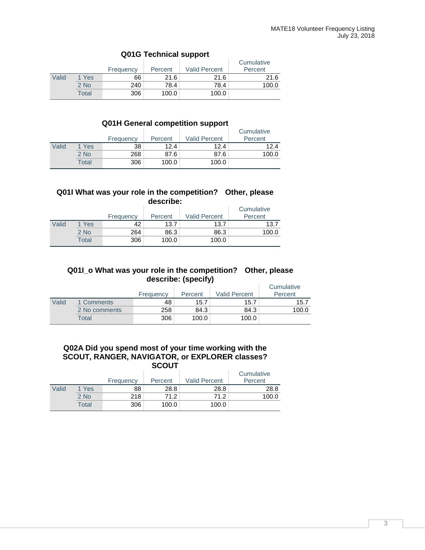|       |        | Frequency | Percent | <b>Valid Percent</b> | Cumulative<br>Percent |
|-------|--------|-----------|---------|----------------------|-----------------------|
| Valid | 1 Yes  | 66        | 21.6    | 21.6                 | 21.6                  |
|       | $2$ No | 240       | 78.4    | 78.4                 | 100.0                 |
|       | Total  | 306       | 100.0   | 100.0                |                       |

# **Q01G Technical support**

# **Q01H General competition support**

|       |        | Frequency | Percent | <b>Valid Percent</b> | Cumulative<br>Percent |
|-------|--------|-----------|---------|----------------------|-----------------------|
| Valid | 1 Yes  | 38        | 12.4    | 12.4                 | 12.4                  |
|       | $2$ No | 268       | 87.6    | 87.6                 | 100.0                 |
|       | Total  | 306       | 100.0   | 100.0                |                       |

#### **Q01I What was your role in the competition? Other, please describe:**

|       |        | Frequency | Percent | <b>Valid Percent</b> | Cumulative<br>Percent |
|-------|--------|-----------|---------|----------------------|-----------------------|
| Valid | 1 Yes  | 42        | 13.7    | 13.7                 | 13.7                  |
|       | $2$ No | 264       | 86.3    | 86.3                 | 100.0                 |
|       | Total  | 306       | 100.0   | 100.0                |                       |

# **Q01I\_o What was your role in the competition? Other, please describe: (specify)**

|       |               | Frequency | Percent | <b>Valid Percent</b> | Cumulative<br>Percent |
|-------|---------------|-----------|---------|----------------------|-----------------------|
| Valid | 1 Comments    | 48        | 15.7    | 15.7                 | 15.7                  |
|       | 2 No comments | 258       | 84.3    | 84.3                 | 100.0                 |
|       | Total         | 306       | 100.0   | 100.0                |                       |

# **Q02A Did you spend most of your time working with the SCOUT, RANGER, NAVIGATOR, or EXPLORER classes? SCOUT**

|       |        | Frequency | Percent | <b>Valid Percent</b> | Cumulative<br>Percent |
|-------|--------|-----------|---------|----------------------|-----------------------|
| Valid | 1 Yes  | 88        | 28.8    | 28.8                 | 28.8                  |
|       | $2$ No | 218       | 71.2    | 71.2                 | 100.0                 |
|       | Total  | 306       | 100.0   | 100.0                |                       |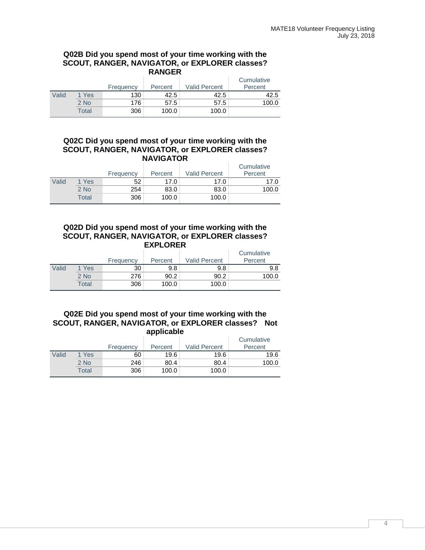#### **Q02B Did you spend most of your time working with the SCOUT, RANGER, NAVIGATOR, or EXPLORER classes? RANGER**

|       |        | Frequency | Percent | <b>Valid Percent</b> | Cumulative<br>Percent |
|-------|--------|-----------|---------|----------------------|-----------------------|
| Valid | 1 Yes  | 130       | 42.5    | 42.5                 | 42.5                  |
|       | $2$ No | 176       | 57.5    | 57.5                 | 100.0                 |
|       | Total  | 306       | 100.0   | 100.0                |                       |

# **Q02C Did you spend most of your time working with the SCOUT, RANGER, NAVIGATOR, or EXPLORER classes? NAVIGATOR**

|       |        | Frequency | Percent | <b>Valid Percent</b> | Cumulative<br>Percent |
|-------|--------|-----------|---------|----------------------|-----------------------|
| Valid | 1 Yes  | 52        | 17.0    | 17.0                 | 17.0                  |
|       | $2$ No | 254       | 83.0    | 83.0                 | 100.0                 |
|       | Total  | 306       | 100.0   | 100.0                |                       |

# **Q02D Did you spend most of your time working with the SCOUT, RANGER, NAVIGATOR, or EXPLORER classes? EXPLORER**

|       |        | Frequency | Percent | <b>Valid Percent</b> | Cumulative<br>Percent |
|-------|--------|-----------|---------|----------------------|-----------------------|
| Valid | 1 Yes  | 30        | 9.8     | 9.8                  | 9.8                   |
|       | $2$ No | 276       | 90.2    | 90.2                 | 100.0                 |
|       | Total  | 306       | 100.0   | 100.0                |                       |

#### **Q02E Did you spend most of your time working with the SCOUT, RANGER, NAVIGATOR, or EXPLORER classes? Not applicable**

|       |       | Frequency | Percent | <b>Valid Percent</b> | Cumulative<br>Percent |
|-------|-------|-----------|---------|----------------------|-----------------------|
| Valid | 1 Yes | 60        | 19.6    | 19.6                 | 19.6                  |
|       | 2 No  | 246       | 80.4    | 80.4                 | 100.0                 |
|       | Total | 306       | 100.0   | 100.0                |                       |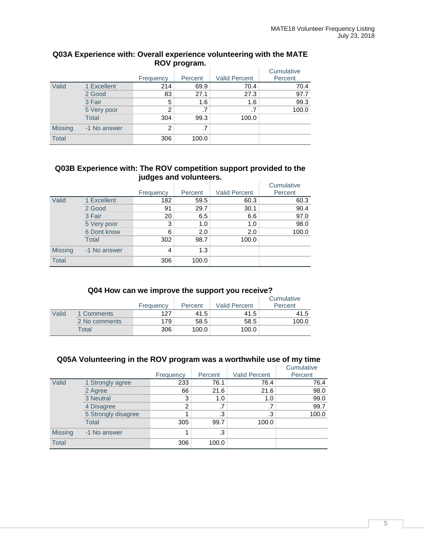|                | $10.1$ Program. |                |         |                      |            |  |  |  |  |
|----------------|-----------------|----------------|---------|----------------------|------------|--|--|--|--|
|                |                 |                |         |                      | Cumulative |  |  |  |  |
|                |                 | Frequency      | Percent | <b>Valid Percent</b> | Percent    |  |  |  |  |
| Valid          | 1 Excellent     | 214            | 69.9    | 70.4                 | 70.4       |  |  |  |  |
|                | 2 Good          | 83             | 27.1    | 27.3                 | 97.7       |  |  |  |  |
|                | 3 Fair          | 5              | 1.6     | 1.6                  | 99.3       |  |  |  |  |
|                | 5 Very poor     | 2              | .7      | .7                   | 100.0      |  |  |  |  |
|                | <b>Total</b>    | 304            | 99.3    | 100.0                |            |  |  |  |  |
| <b>Missing</b> | -1 No answer    | $\overline{2}$ | .7      |                      |            |  |  |  |  |
| <b>Total</b>   |                 | 306            | 100.0   |                      |            |  |  |  |  |

# **Q03A Experience with: Overall experience volunteering with the MATE ROV program.**

# **Q03B Experience with: The ROV competition support provided to the judges and volunteers.**

|                |              | Frequency | Percent | <b>Valid Percent</b> | Cumulative<br>Percent |
|----------------|--------------|-----------|---------|----------------------|-----------------------|
| Valid          | 1 Excellent  | 182       | 59.5    | 60.3                 | 60.3                  |
|                | 2 Good       | 91        | 29.7    | 30.1                 | 90.4                  |
|                | 3 Fair       | 20        | 6.5     | 6.6                  | 97.0                  |
|                | 5 Very poor  | 3         | 1.0     | 1.0                  | 98.0                  |
|                | 6 Dont know  | 6         | 2.0     | 2.0                  | 100.0                 |
|                | Total        | 302       | 98.7    | 100.0                |                       |
| <b>Missing</b> | -1 No answer | 4         | 1.3     |                      |                       |
| <b>Total</b>   |              | 306       | 100.0   |                      |                       |

# **Q04 How can we improve the support you receive?**

|       |               | Frequency | Percent | <b>Valid Percent</b> | Cumulative<br>Percent |
|-------|---------------|-----------|---------|----------------------|-----------------------|
| Valid | 1 Comments    | 127       | 41.5    | 41.5                 | 41.5                  |
|       | 2 No comments | 179       | 58.5    | 58.5                 | 100.0                 |
|       | Total         | 306       | 100.0   | 100.0                |                       |

# **Q05A Volunteering in the ROV program was a worthwhile use of my time**

|                |                     | Frequency | Percent | <b>Valid Percent</b> | Cumulative<br>Percent |
|----------------|---------------------|-----------|---------|----------------------|-----------------------|
| Valid          | 1 Strongly agree    | 233       | 76.1    | 76.4                 | 76.4                  |
|                | 2 Agree             | 66        | 21.6    | 21.6                 | 98.0                  |
|                | 3 Neutral           | 3         | 1.0     | 1.0                  | 99.0                  |
|                | 4 Disagree          | 2         | .7      | .7                   | 99.7                  |
|                | 5 Strongly disagree |           | .3      | .3                   | 100.0                 |
|                | Total               | 305       | 99.7    | 100.0                |                       |
| <b>Missing</b> | -1 No answer        |           | .3      |                      |                       |
| <b>Total</b>   |                     | 306       | 100.0   |                      |                       |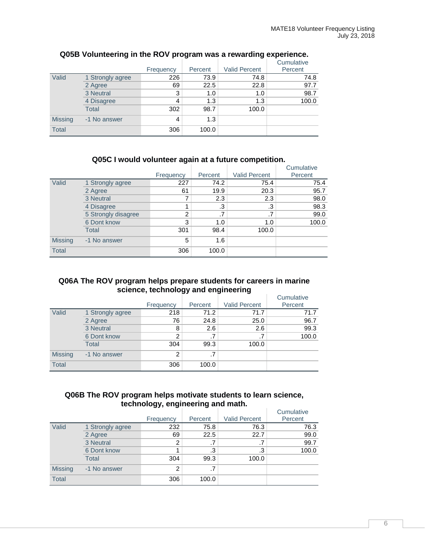|                |                  |           |         |                      | Cumulative |
|----------------|------------------|-----------|---------|----------------------|------------|
|                |                  | Frequency | Percent | <b>Valid Percent</b> | Percent    |
| Valid          | 1 Strongly agree | 226       | 73.9    | 74.8                 | 74.8       |
|                | 2 Agree          | 69        | 22.5    | 22.8                 | 97.7       |
|                | 3 Neutral        | 3         | 1.0     | 1.0                  | 98.7       |
|                | 4 Disagree       | 4         | 1.3     | 1.3                  | 100.0      |
|                | <b>Total</b>     | 302       | 98.7    | 100.0                |            |
| <b>Missing</b> | -1 No answer     | 4         | 1.3     |                      |            |
| <b>Total</b>   |                  | 306       | 100.0   |                      |            |

# **Q05B Volunteering in the ROV program was a rewarding experience.**

# **Q05C I would volunteer again at a future competition.**

|                |                     |           |         |                      | Cumulative |
|----------------|---------------------|-----------|---------|----------------------|------------|
|                |                     | Frequency | Percent | <b>Valid Percent</b> | Percent    |
| Valid          | 1 Strongly agree    | 227       | 74.2    | 75.4                 | 75.4       |
|                | 2 Agree             | 61        | 19.9    | 20.3                 | 95.7       |
|                | 3 Neutral           |           | 2.3     | 2.3                  | 98.0       |
|                | 4 Disagree          |           | .3      | .3                   | 98.3       |
|                | 5 Strongly disagree | 2         | .7      | .7                   | 99.0       |
|                | 6 Dont know         | 3         | 1.0     | 1.0                  | 100.0      |
|                | Total               | 301       | 98.4    | 100.0                |            |
| <b>Missing</b> | -1 No answer        | 5         | 1.6     |                      |            |
| <b>Total</b>   |                     | 306       | 100.0   |                      |            |

# **Q06A The ROV program helps prepare students for careers in marine science, technology and engineering**

|                |                  |                |         |                      | Cumulative |
|----------------|------------------|----------------|---------|----------------------|------------|
|                |                  | Frequency      | Percent | <b>Valid Percent</b> | Percent    |
| Valid          | 1 Strongly agree | 218            | 71.2    | 71.7                 | 71.7       |
|                | 2 Agree          | 76             | 24.8    | 25.0                 | 96.7       |
|                | 3 Neutral        | 8              | 2.6     | 2.6                  | 99.3       |
|                | 6 Dont know      | $\overline{2}$ |         | .7                   | 100.0      |
|                | <b>Total</b>     | 304            | 99.3    | 100.0                |            |
| <b>Missing</b> | -1 No answer     | 2              | .7      |                      |            |
| <b>Total</b>   |                  | 306            | 100.0   |                      |            |

# **Q06B The ROV program helps motivate students to learn science, technology, engineering and math.**

|                |                  | Frequency     | Percent | <b>Valid Percent</b> | Cumulative<br>Percent |
|----------------|------------------|---------------|---------|----------------------|-----------------------|
| Valid          | 1 Strongly agree | 232           | 75.8    | 76.3                 | 76.3                  |
|                | 2 Agree          | 69            | 22.5    | 22.7                 | 99.0                  |
|                | 3 Neutral        | 2             | .7      | .7                   | 99.7                  |
|                | 6 Dont know      |               | .3      | .3                   | 100.0                 |
|                | <b>Total</b>     | 304           | 99.3    | 100.0                |                       |
| <b>Missing</b> | -1 No answer     | $\mathcal{P}$ | .7      |                      |                       |
| <b>Total</b>   |                  | 306           | 100.0   |                      |                       |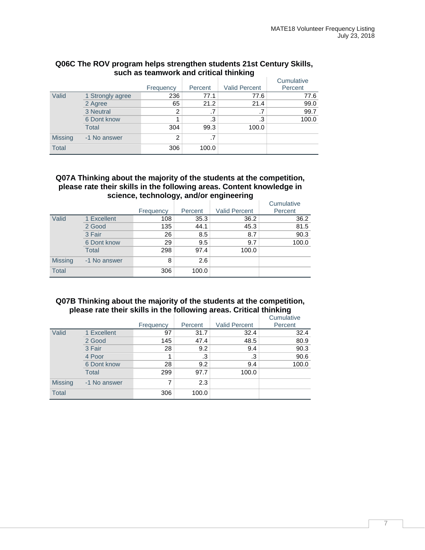|                |                  |           |         |                      | Cumulative |
|----------------|------------------|-----------|---------|----------------------|------------|
|                |                  | Frequency | Percent | <b>Valid Percent</b> | Percent    |
| Valid          | 1 Strongly agree | 236       | 77.1    | 77.6                 | 77.6       |
|                | 2 Agree          | 65        | 21.2    | 21.4                 | 99.0       |
|                | 3 Neutral        | 2         | .7      | .7                   | 99.7       |
|                | 6 Dont know      |           | .3      | .3                   | 100.0      |
|                | Total            | 304       | 99.3    | 100.0                |            |
| <b>Missing</b> | -1 No answer     | 2         | .7      |                      |            |
| <b>Total</b>   |                  | 306       | 100.0   |                      |            |

# **Q06C The ROV program helps strengthen students 21st Century Skills, such as teamwork and critical thinking**

# **Q07A Thinking about the majority of the students at the competition, please rate their skills in the following areas. Content knowledge in science, technology, and/or engineering**

|                |              |           |         |                      | Cumulative |
|----------------|--------------|-----------|---------|----------------------|------------|
|                |              | Frequency | Percent | <b>Valid Percent</b> | Percent    |
| Valid          | 1 Excellent  | 108       | 35.3    | 36.2                 | 36.2       |
|                | 2 Good       | 135       | 44.1    | 45.3                 | 81.5       |
|                | 3 Fair       | 26        | 8.5     | 8.7                  | 90.3       |
|                | 6 Dont know  | 29        | 9.5     | 9.7                  | 100.0      |
|                | Total        | 298       | 97.4    | 100.0                |            |
| <b>Missing</b> | -1 No answer | 8         | 2.6     |                      |            |
| <b>Total</b>   |              | 306       | 100.0   |                      |            |

# **Q07B Thinking about the majority of the students at the competition, please rate their skills in the following areas. Critical thinking**

|                |              |           |         |                      | Cumulative |
|----------------|--------------|-----------|---------|----------------------|------------|
|                |              | Frequency | Percent | <b>Valid Percent</b> | Percent    |
| Valid          | 1 Excellent  | 97        | 31.7    | 32.4                 | 32.4       |
|                | 2 Good       | 145       | 47.4    | 48.5                 | 80.9       |
|                | 3 Fair       | 28        | 9.2     | 9.4                  | 90.3       |
|                | 4 Poor       | 1         | .3      | .3                   | 90.6       |
|                | 6 Dont know  | 28        | 9.2     | 9.4                  | 100.0      |
|                | <b>Total</b> | 299       | 97.7    | 100.0                |            |
| <b>Missing</b> | -1 No answer | 7         | 2.3     |                      |            |
| <b>Total</b>   |              | 306       | 100.0   |                      |            |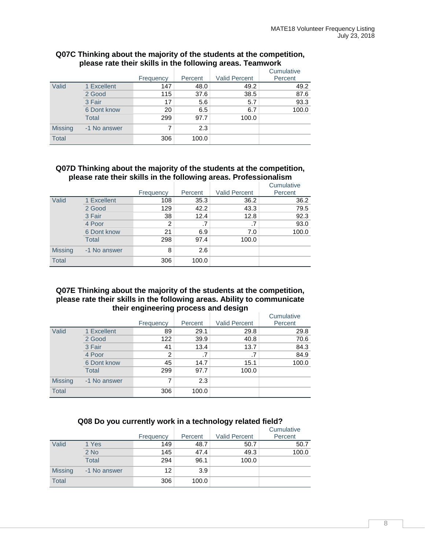|                |              | Frequency | Percent | <b>Valid Percent</b> | Cumulative<br>Percent |
|----------------|--------------|-----------|---------|----------------------|-----------------------|
| Valid          | 1 Excellent  | 147       | 48.0    | 49.2                 | 49.2                  |
|                | 2 Good       | 115       | 37.6    | 38.5                 | 87.6                  |
|                | 3 Fair       | 17        | 5.6     | 5.7                  | 93.3                  |
|                | 6 Dont know  | 20        | 6.5     | 6.7                  | 100.0                 |
|                | Total        | 299       | 97.7    | 100.0                |                       |
| <b>Missing</b> | -1 No answer | 7         | 2.3     |                      |                       |
| <b>Total</b>   |              | 306       | 100.0   |                      |                       |

## **Q07C Thinking about the majority of the students at the competition, please rate their skills in the following areas. Teamwork**

## **Q07D Thinking about the majority of the students at the competition, please rate their skills in the following areas. Professionalism**

|                |              |           |         |                      | Cumulative |
|----------------|--------------|-----------|---------|----------------------|------------|
|                |              | Frequency | Percent | <b>Valid Percent</b> | Percent    |
| Valid          | 1 Excellent  | 108       | 35.3    | 36.2                 | 36.2       |
|                | 2 Good       | 129       | 42.2    | 43.3                 | 79.5       |
|                | 3 Fair       | 38        | 12.4    | 12.8                 | 92.3       |
|                | 4 Poor       | 2         | .7      | .7                   | 93.0       |
|                | 6 Dont know  | 21        | 6.9     | 7.0                  | 100.0      |
|                | Total        | 298       | 97.4    | 100.0                |            |
| <b>Missing</b> | -1 No answer | 8         | 2.6     |                      |            |
| <b>Total</b>   |              | 306       | 100.0   |                      |            |

# **Q07E Thinking about the majority of the students at the competition, please rate their skills in the following areas. Ability to communicate their engineering process and design**

|                |              |           |         |                      | Cumulative |
|----------------|--------------|-----------|---------|----------------------|------------|
|                |              | Frequency | Percent | <b>Valid Percent</b> | Percent    |
| Valid          | 1 Excellent  | 89        | 29.1    | 29.8                 | 29.8       |
|                | 2 Good       | 122       | 39.9    | 40.8                 | 70.6       |
|                | 3 Fair       | 41        | 13.4    | 13.7                 | 84.3       |
|                | 4 Poor       | 2         | .7      | .7                   | 84.9       |
|                | 6 Dont know  | 45        | 14.7    | 15.1                 | 100.0      |
|                | Total        | 299       | 97.7    | 100.0                |            |
| <b>Missing</b> | -1 No answer | 7         | 2.3     |                      |            |
| <b>Total</b>   |              | 306       | 100.0   |                      |            |

# **Q08 Do you currently work in a technology related field?**

|                |              | Frequency | Percent | <b>Valid Percent</b> | Cumulative<br>Percent |
|----------------|--------------|-----------|---------|----------------------|-----------------------|
| Valid          | 1 Yes        | 149       | 48.7    | 50.7                 | 50.7                  |
|                | $2$ No       | 145       | 47.4    | 49.3                 | 100.0                 |
|                | <b>Total</b> | 294       | 96.1    | 100.0                |                       |
| <b>Missing</b> | -1 No answer | 12        | 3.9     |                      |                       |
| <b>Total</b>   |              | 306       | 100.0   |                      |                       |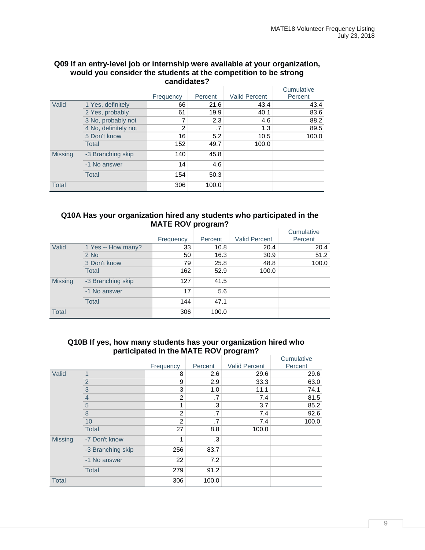| candidates?    |                      |           |         |                      |            |  |  |  |
|----------------|----------------------|-----------|---------|----------------------|------------|--|--|--|
|                |                      |           |         |                      | Cumulative |  |  |  |
|                |                      | Frequency | Percent | <b>Valid Percent</b> | Percent    |  |  |  |
| Valid          | 1 Yes, definitely    | 66        | 21.6    | 43.4                 | 43.4       |  |  |  |
|                | 2 Yes, probably      | 61        | 19.9    | 40.1                 | 83.6       |  |  |  |
|                | 3 No, probably not   | 7         | 2.3     | 4.6                  | 88.2       |  |  |  |
|                | 4 No. definitely not | 2         | .7      | 1.3                  | 89.5       |  |  |  |
|                | 5 Don't know         | 16        | 5.2     | 10.5                 | 100.0      |  |  |  |
|                | Total                | 152       | 49.7    | 100.0                |            |  |  |  |
| <b>Missing</b> | -3 Branching skip    | 140       | 45.8    |                      |            |  |  |  |
|                | -1 No answer         | 14        | 4.6     |                      |            |  |  |  |
|                | Total                | 154       | 50.3    |                      |            |  |  |  |
| <b>Total</b>   |                      | 306       | 100.0   |                      |            |  |  |  |

# **Q09 If an entry-level job or internship were available at your organization, would you consider the students at the competition to be strong**

# **Q10A Has your organization hired any students who participated in the MATE ROV program?**

|                |                    |           |         |                      | Cumulative |
|----------------|--------------------|-----------|---------|----------------------|------------|
|                |                    | Frequency | Percent | <b>Valid Percent</b> | Percent    |
| Valid          | 1 Yes -- How many? | 33        | 10.8    | 20.4                 | 20.4       |
|                | $2$ No             | 50        | 16.3    | 30.9                 | 51.2       |
|                | 3 Don't know       | 79        | 25.8    | 48.8                 | 100.0      |
|                | <b>Total</b>       | 162       | 52.9    | 100.0                |            |
| <b>Missing</b> | -3 Branching skip  | 127       | 41.5    |                      |            |
|                | -1 No answer       | 17        | 5.6     |                      |            |
|                | <b>Total</b>       | 144       | 47.1    |                      |            |
| <b>Total</b>   |                    | 306       | 100.0   |                      |            |

# **Q10B If yes, how many students has your organization hired who participated in the MATE ROV program?**

|                |                   |                |         |                      | Cumulative |
|----------------|-------------------|----------------|---------|----------------------|------------|
|                |                   | Frequency      | Percent | <b>Valid Percent</b> | Percent    |
| Valid          | 1                 | 8              | 2.6     | 29.6                 | 29.6       |
|                | $\overline{c}$    | 9              | 2.9     | 33.3                 | 63.0       |
|                | $\overline{3}$    | 3              | 1.0     | 11.1                 | 74.1       |
|                | $\overline{4}$    | $\overline{2}$ | .7      | 7.4                  | 81.5       |
|                | $\frac{5}{8}$     | 1              | .3      | 3.7                  | 85.2       |
|                |                   | $\overline{2}$ | .7      | 7.4                  | 92.6       |
|                | 10                | 2              | .7      | 7.4                  | 100.0      |
|                | <b>Total</b>      | 27             | 8.8     | 100.0                |            |
| <b>Missing</b> | -7 Don't know     | 1              | .3      |                      |            |
|                | -3 Branching skip | 256            | 83.7    |                      |            |
|                | -1 No answer      | 22             | 7.2     |                      |            |
|                | <b>Total</b>      | 279            | 91.2    |                      |            |
| <b>Total</b>   |                   | 306            | 100.0   |                      |            |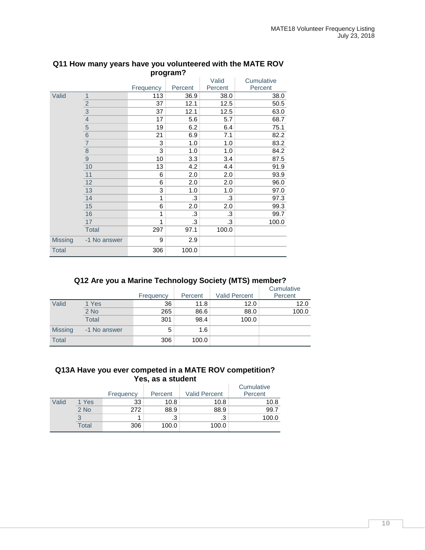| program :      |                 |           |         |         |            |
|----------------|-----------------|-----------|---------|---------|------------|
|                |                 |           |         | Valid   | Cumulative |
|                |                 | Frequency | Percent | Percent | Percent    |
| Valid          | $\overline{1}$  | 113       | 36.9    | 38.0    | 38.0       |
|                | $\frac{2}{3}$   | 37        | 12.1    | 12.5    | 50.5       |
|                |                 | 37        | 12.1    | 12.5    | 63.0       |
|                | $\overline{4}$  | 17        | 5.6     | 5.7     | 68.7       |
|                | $\overline{5}$  | 19        | 6.2     | 6.4     | 75.1       |
|                | $6\phantom{1}6$ | 21        | 6.9     | 7.1     | 82.2       |
|                | $\overline{7}$  | 3         | 1.0     | 1.0     | 83.2       |
|                | $\frac{8}{9}$   | 3         | 1.0     | 1.0     | 84.2       |
|                |                 | 10        | 3.3     | 3.4     | 87.5       |
|                | 10              | 13        | 4.2     | 4.4     | 91.9       |
|                | 11              | 6         | 2.0     | 2.0     | 93.9       |
|                | 12              | 6         | 2.0     | 2.0     | 96.0       |
|                | 13              | 3         | 1.0     | 1.0     | 97.0       |
|                | 14              | 1         | .3      | .3      | 97.3       |
|                | 15              | 6         | 2.0     | 2.0     | 99.3       |
|                | 16              | 1         | .3      | .3      | 99.7       |
|                | 17              | 1         | .3      | .3      | 100.0      |
|                | <b>Total</b>    | 297       | 97.1    | 100.0   |            |
| <b>Missing</b> | -1 No answer    | 9         | 2.9     |         |            |
| <b>Total</b>   |                 | 306       | 100.0   |         |            |

#### **Q11 How many years have you volunteered with the MATE ROV program?**

# **Q12 Are you a Marine Technology Society (MTS) member?**

|                |              | Frequency | Percent | <b>Valid Percent</b> | Cumulative<br>Percent |
|----------------|--------------|-----------|---------|----------------------|-----------------------|
|                |              |           |         |                      |                       |
| Valid          | 1 Yes        | 36        | 11.8    | 12.0                 | 12.0                  |
|                | $2$ No       | 265       | 86.6    | 88.0                 | 100.0                 |
|                | <b>Total</b> | 301       | 98.4    | 100.0                |                       |
| <b>Missing</b> | -1 No answer | 5         | 1.6     |                      |                       |
| <b>Total</b>   |              | 306       | 100.0   |                      |                       |

# **Q13A Have you ever competed in a MATE ROV competition? Yes, as a student**

|       |        | Frequency | Percent | <b>Valid Percent</b> | Cumulative<br>Percent |
|-------|--------|-----------|---------|----------------------|-----------------------|
| Valid | 1 Yes  | 33        | 10.8    | 10.8                 | 10.8                  |
|       | $2$ No | 272       | 88.9    | 88.9                 | 99.7                  |
|       |        |           | .3      | .3                   | 100.0                 |
|       | Total  | 306       | 100.0   | 100.0                |                       |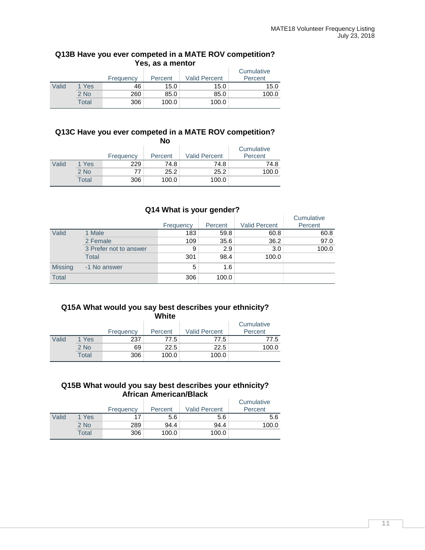#### **Q13B Have you ever competed in a MATE ROV competition? Yes, as a mentor**

|       |        | Frequency | Percent | <b>Valid Percent</b> | Cumulative<br>Percent |
|-------|--------|-----------|---------|----------------------|-----------------------|
| Valid | 1 Yes  | 46        | 15.0    | 15.0                 | 15.0                  |
|       | $2$ No | 260       | 85.0    | 85.0                 | 100.0                 |
|       | Total  | 306       | 100.0   | 100.0                |                       |

#### **Q13C Have you ever competed in a MATE ROV competition? No**

|       |        |           | IVU     |                      |            |
|-------|--------|-----------|---------|----------------------|------------|
|       |        |           |         |                      | Cumulative |
|       |        | Frequency | Percent | <b>Valid Percent</b> | Percent    |
| Valid | 1 Yes  | 229       | 74.8    | 74.8                 | 74.8       |
|       | $2$ No | 77        | 25.2    | 25.2                 | 100.0      |
|       | Total  | 306       | 100.0   | 100.0                |            |

# **Q14 What is your gender?**

|                |                        | Frequency | Percent | Valid Percent | Cumulative<br>Percent |
|----------------|------------------------|-----------|---------|---------------|-----------------------|
| Valid          | 1 Male                 | 183       | 59.8    | 60.8          | 60.8                  |
|                | 2 Female               | 109       | 35.6    | 36.2          | 97.0                  |
|                | 3 Prefer not to answer | 9         | 2.9     | 3.0           | 100.0                 |
|                | <b>Total</b>           | 301       | 98.4    | 100.0         |                       |
| <b>Missing</b> | -1 No answer           | 5         | 1.6     |               |                       |
| Total          |                        | 306       | 100.0   |               |                       |

#### **Q15A What would you say best describes your ethnicity? White**

|       |        | Frequency | Percent | <b>Valid Percent</b> | Cumulative<br>Percent |  |  |
|-------|--------|-----------|---------|----------------------|-----------------------|--|--|
| Valid | 1 Yes  | 237       | 77.5    | 77.5                 | 77.5                  |  |  |
|       | $2$ No | 69        | 22.5    | 22.5                 | 100.0                 |  |  |
|       | Total  | 306       | 100.0   | 100.0                |                       |  |  |

# **Q15B What would you say best describes your ethnicity? African American/Black**

|       |        | Frequency | Percent | <b>Valid Percent</b> | Cumulative<br>Percent |
|-------|--------|-----------|---------|----------------------|-----------------------|
| Valid | 1 Yes  | 17        | 5.6     | 5.6                  | 5.6                   |
|       | $2$ No | 289       | 94.4    | 94.4                 | 100.0                 |
|       | Total  | 306       | 100.0   | 100.0                |                       |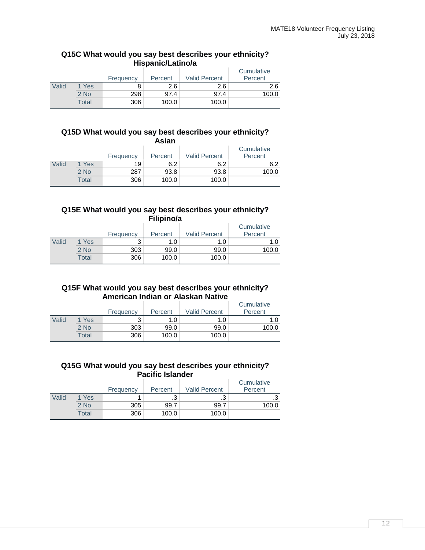# **Q15C What would you say best describes your ethnicity? Hispanic/Latino/a**

|       |        | Frequency | Percent | <b>Valid Percent</b> | Cumulative<br>Percent |
|-------|--------|-----------|---------|----------------------|-----------------------|
| Valid | 1 Yes  |           | 2.6     | 2.6                  | 2.6                   |
|       | $2$ No | 298       | 97.4    | 97.4                 | 100.0                 |
|       | Total  | 306       | 100.0   | 100.0                |                       |

#### **Q15D What would you say best describes your ethnicity? Asian**

|       | .      |           |         |                      |                       |  |  |  |
|-------|--------|-----------|---------|----------------------|-----------------------|--|--|--|
|       |        | Frequency | Percent | <b>Valid Percent</b> | Cumulative<br>Percent |  |  |  |
| Valid | 1 Yes  | 19        | 6.2     | 6.2                  | 6.2                   |  |  |  |
|       | $2$ No | 287       | 93.8    | 93.8                 | 100.0                 |  |  |  |
|       | Total  | 306       | 100.0   | 100.0                |                       |  |  |  |

# **Q15E What would you say best describes your ethnicity? Filipino/a**

|       |        | Frequency | Percent | <b>Valid Percent</b> | Cumulative<br>Percent |
|-------|--------|-----------|---------|----------------------|-----------------------|
| Valid | 1 Yes  | っ         | 1.0     | 1.0                  | 1.0                   |
|       | $2$ No | 303       | 99.0    | 99.0                 | 100.0                 |
|       | Total  | 306       | 100.0   | 100.0                |                       |

# **Q15F What would you say best describes your ethnicity? American Indian or Alaskan Native**

|       |        | Frequency | Percent | <b>Valid Percent</b> | Cumulative<br>Percent |
|-------|--------|-----------|---------|----------------------|-----------------------|
| Valid | 1 Yes  | 2         | 1.0     | 1.0                  | 1.0                   |
|       | $2$ No | 303       | 99.0    | 99.0                 | 100.0                 |
|       | Total  | 306       | 100.0   | 100.0                |                       |

# **Q15G What would you say best describes your ethnicity? Pacific Islander**

|       |        | Frequency | Percent | <b>Valid Percent</b> | Cumulative<br>Percent |
|-------|--------|-----------|---------|----------------------|-----------------------|
| Valid | 1 Yes  |           | ن.      | ົ<br>ن.              | .3                    |
|       | $2$ No | 305       | 99.7    | 99.7                 | 100.0                 |
|       | Total  | 306       | 100.0   | 100.0                |                       |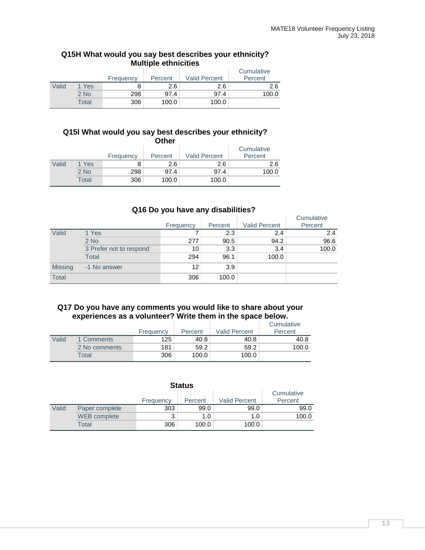# **Q15H What would you say best describes your ethnicity? Multiple ethnicities**

|       |        | Frequency | Percent | <b>Valid Percent</b> | Cumulative<br>Percent |
|-------|--------|-----------|---------|----------------------|-----------------------|
| Valid | 1 Yes  |           | 2.6     | 2.6                  | 2.6                   |
|       | $2$ No | 298       | 97.4    | 97.4                 | 100.0                 |
|       | Total  | 306       | 100.0   | 100.0                |                       |

#### **Q15I What would you say best describes your ethnicity? Other**

| ----  |       |           |         |                      |            |  |  |
|-------|-------|-----------|---------|----------------------|------------|--|--|
|       |       |           |         |                      | Cumulative |  |  |
|       |       | Frequency | Percent | <b>Valid Percent</b> | Percent    |  |  |
| Valid | 1 Yes |           | 2.6     | 2.6                  | 2.6        |  |  |
|       | 2 No  | 298       | 97.4    | 97.4                 | 100.0      |  |  |
|       | Total | 306       | 100.0   | 100.0                |            |  |  |

# **Q16 Do you have any disabilities?**

|                |                         | Frequency | Percent | <b>Valid Percent</b> | Cumulative<br>Percent |
|----------------|-------------------------|-----------|---------|----------------------|-----------------------|
| Valid          | 1 Yes                   |           | 2.3     | 2.4                  | 2.4                   |
|                | $2$ No                  | 277       | 90.5    | 94.2                 | 96.6                  |
|                | 3 Prefer not to respond | 10        | 3.3     | 3.4                  | 100.0                 |
|                | <b>Total</b>            | 294       | 96.1    | 100.0                |                       |
| <b>Missing</b> | -1 No answer            | 12        | 3.9     |                      |                       |
| Total          |                         | 306       | 100.0   |                      |                       |

# **Q17 Do you have any comments you would like to share about your experiences as a volunteer? Write them in the space below.**

|       |               | Frequency | Percent | <b>Valid Percent</b> | Cumulative<br>Percent |
|-------|---------------|-----------|---------|----------------------|-----------------------|
| Valid | 1 Comments    | 125       | 40.8    | 40.8                 | 40.8                  |
|       | 2 No comments | 181       | 59.2    | 59.2                 | 100.0                 |
|       | $\tau$ otal   | 306       | 100.0   | 100.0                |                       |

| <b>Status</b> |                |           |                  |                      |                       |  |  |
|---------------|----------------|-----------|------------------|----------------------|-----------------------|--|--|
|               |                | Frequency | Percent          | <b>Valid Percent</b> | Cumulative<br>Percent |  |  |
| Valid         | Paper complete | 303       | 99.0             | 99.0                 | 99.0                  |  |  |
|               | WEB complete   | 3         | 1.0 <sub>1</sub> | 1.0                  | 100.0                 |  |  |
|               | Total          | 306       | 100.0            | 100.0                |                       |  |  |